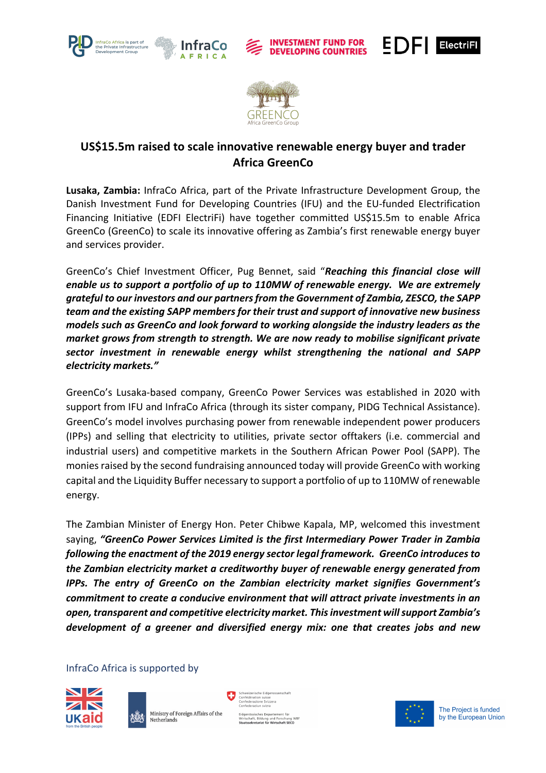









# **US\$15.5m raised to scale innovative renewable energy buyer and trader Africa GreenCo**

**Lusaka, Zambia:** InfraCo Africa, part of the Private Infrastructure Development Group, the Danish Investment Fund for Developing Countries (IFU) and the EU-funded Electrification Financing Initiative (EDFI ElectriFi) have together committed US\$15.5m to enable Africa GreenCo (GreenCo) to scale its innovative offering as Zambia's first renewable energy buyer and services provider.

GreenCo's Chief Investment Officer, Pug Bennet, said "*Reaching this financial close will enable us to support a portfolio of up to 110MW of renewable energy. We are extremely grateful to our investors and our partners from the Government of Zambia, ZESCO, the SAPP team and the existing SAPP members for their trust and support of innovative new business models such as GreenCo and look forward to working alongside the industry leaders as the market grows from strength to strength. We are now ready to mobilise significant private sector investment in renewable energy whilst strengthening the national and SAPP electricity markets."*

GreenCo's Lusaka-based company, GreenCo Power Services was established in 2020 with support from IFU and InfraCo Africa (through its sister company, PIDG Technical Assistance). GreenCo's model involves purchasing power from renewable independent power producers (IPPs) and selling that electricity to utilities, private sector offtakers (i.e. commercial and industrial users) and competitive markets in the Southern African Power Pool (SAPP). The monies raised by the second fundraising announced today will provide GreenCo with working capital and the Liquidity Buffer necessary to support a portfolio of up to 110MW of renewable energy.

The Zambian Minister of Energy Hon. Peter Chibwe Kapala, MP, welcomed this investment saying, *"GreenCo Power Services Limited is the first Intermediary Power Trader in Zambia following the enactment of the 2019 energy sector legal framework. GreenCo introduces to the Zambian electricity market a creditworthy buyer of renewable energy generated from IPPs. The entry of GreenCo on the Zambian electricity market signifies Government's commitment to create a conducive environment that will attract private investments in an open, transparent and competitive electricity market. This investment will support Zambia's development of a greener and diversified energy mix: one that creates jobs and new* 

## InfraCo Africa is supported by





ichweizerische Eidgenos<br>Ionfédération suisse<br>Ionfederazione Svizzera<br>Ionfederaziun suizs ssisches Departement für<br>aft, Bildung und Forschung WBF<br>k**retariat für Wirtschaft SECO** 

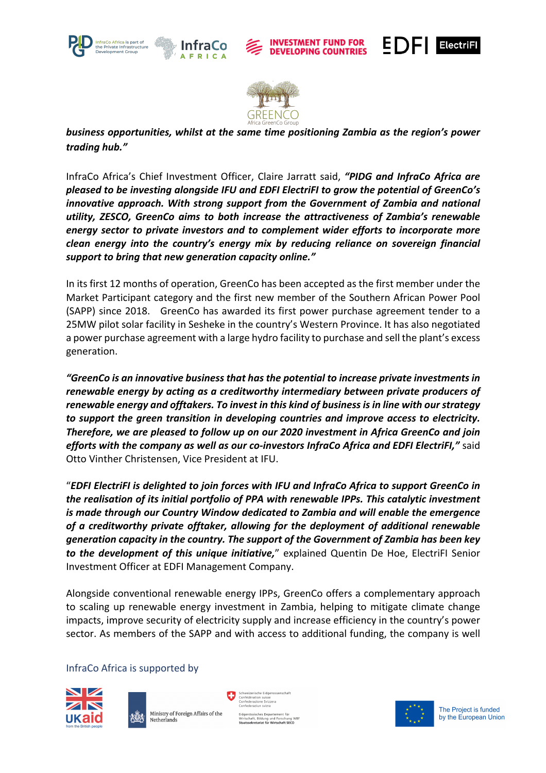









*business opportunities, whilst at the same time positioning Zambia as the region's power trading hub."*

InfraCo Africa's Chief Investment Officer, Claire Jarratt said, *"PIDG and InfraCo Africa are pleased to be investing alongside IFU and EDFI ElectriFI to grow the potential of GreenCo's innovative approach. With strong support from the Government of Zambia and national utility, ZESCO, GreenCo aims to both increase the attractiveness of Zambia's renewable energy sector to private investors and to complement wider efforts to incorporate more clean energy into the country's energy mix by reducing reliance on sovereign financial support to bring that new generation capacity online."*

In its first 12 months of operation, GreenCo has been accepted as the first member under the Market Participant category and the first new member of the Southern African Power Pool (SAPP) since 2018. GreenCo has awarded its first power purchase agreement tender to a 25MW pilot solar facility in Sesheke in the country's Western Province. It has also negotiated a power purchase agreement with a large hydro facility to purchase and sell the plant's excess generation.

*"GreenCo is an innovative business that has the potential to increase private investments in renewable energy by acting as a creditworthy intermediary between private producers of renewable energy and offtakers. To invest in this kind of business is in line with our strategy to support the green transition in developing countries and improve access to electricity. Therefore, we are pleased to follow up on our 2020 investment in Africa GreenCo and join efforts with the company as well as our co-investors InfraCo Africa and EDFI ElectriFI,"* said Otto Vinther Christensen, Vice President at IFU.

"*EDFI ElectriFI is delighted to join forces with IFU and InfraCo Africa to support GreenCo in the realisation of its initial portfolio of PPA with renewable IPPs. This catalytic investment is made through our Country Window dedicated to Zambia and will enable the emergence of a creditworthy private offtaker, allowing for the deployment of additional renewable generation capacity in the country. The support of the Government of Zambia has been key to the development of this unique initiative,*" explained Quentin De Hoe, ElectriFI Senior Investment Officer at EDFI Management Company.

Alongside conventional renewable energy IPPs, GreenCo offers a complementary approach to scaling up renewable energy investment in Zambia, helping to mitigate climate change impacts, improve security of electricity supply and increase efficiency in the country's power sector. As members of the SAPP and with access to additional funding, the company is well

## InfraCo Africa is supported by



Ministry of Foreign Affairs of the Netherlands

ssisches Departement für<br>ift, Bildung und Forschung WBF<br>**kretariat für Wirtschaft SECO** 



The Project is funded by the European Union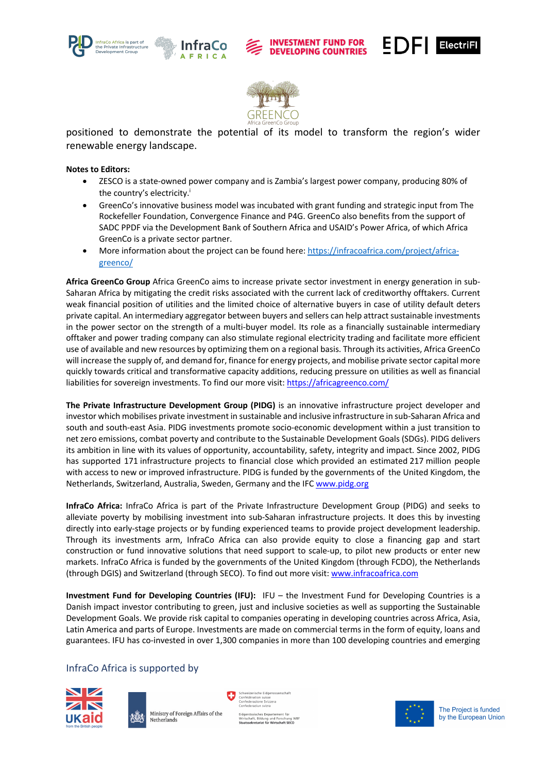



#### **INVESTMENT FUND FOR DEVELOPING COUNTRIES**





positioned to demonstrate the potential of its model to transform the region's wider renewable energy landscape.

### **Notes to Editors:**

- ZESCO is a state-owned power company and is Zambia's largest power company, producing 80% of the country's electricity.<sup>i</sup>
- GreenCo's innovative business model was incubated with grant funding and strategic input from The Rockefeller Foundation, Convergence Finance and P4G. GreenCo also benefits from the support of SADC PPDF via the Development Bank of Southern Africa and USAID's Power Africa, of which Africa GreenCo is a private sector partner.
- More information about the project can be found here: https://infracoafrica.com/project/africagreenco/

**Africa GreenCo Group** Africa GreenCo aims to increase private sector investment in energy generation in sub-Saharan Africa by mitigating the credit risks associated with the current lack of creditworthy offtakers. Current weak financial position of utilities and the limited choice of alternative buyers in case of utility default deters private capital. An intermediary aggregator between buyers and sellers can help attract sustainable investments in the power sector on the strength of a multi-buyer model. Its role as a financially sustainable intermediary offtaker and power trading company can also stimulate regional electricity trading and facilitate more efficient use of available and new resources by optimizing them on a regional basis. Through its activities, Africa GreenCo will increase the supply of, and demand for, finance for energy projects, and mobilise private sector capital more quickly towards critical and transformative capacity additions, reducing pressure on utilities as well as financial liabilities for sovereign investments. To find our more visit: https://africagreenco.com/

**The Private Infrastructure Development Group (PIDG)** is an innovative infrastructure project developer and investor which mobilises private investment in sustainable and inclusive infrastructure in sub-Saharan Africa and south and south-east Asia. PIDG investments promote socio-economic development within a just transition to net zero emissions, combat poverty and contribute to the Sustainable Development Goals (SDGs). PIDG delivers its ambition in line with its values of opportunity, accountability, safety, integrity and impact. Since 2002, PIDG has supported 171 infrastructure projects to financial close which provided an estimated 217 million people with access to new or improved infrastructure. PIDG is funded by the governments of the United Kingdom, the Netherlands, Switzerland, Australia, Sweden, Germany and the IFC www.pidg.org

**InfraCo Africa:** InfraCo Africa is part of the Private Infrastructure Development Group (PIDG) and seeks to alleviate poverty by mobilising investment into sub-Saharan infrastructure projects. It does this by investing directly into early-stage projects or by funding experienced teams to provide project development leadership. Through its investments arm, InfraCo Africa can also provide equity to close a financing gap and start construction or fund innovative solutions that need support to scale-up, to pilot new products or enter new markets. InfraCo Africa is funded by the governments of the United Kingdom (through FCDO), the Netherlands (through DGIS) and Switzerland (through SECO). To find out more visit: www.infracoafrica.com

**Investment Fund for Developing Countries (IFU):** IFU – the Investment Fund for Developing Countries is a Danish impact investor contributing to green, just and inclusive societies as well as supporting the Sustainable Development Goals. We provide risk capital to companies operating in developing countries across Africa, Asia, Latin America and parts of Europe. Investments are made on commercial terms in the form of equity, loans and guarantees. IFU has co-invested in over 1,300 companies in more than 100 developing countries and emerging

## InfraCo Africa is supported by









The Project is funded by the European Union